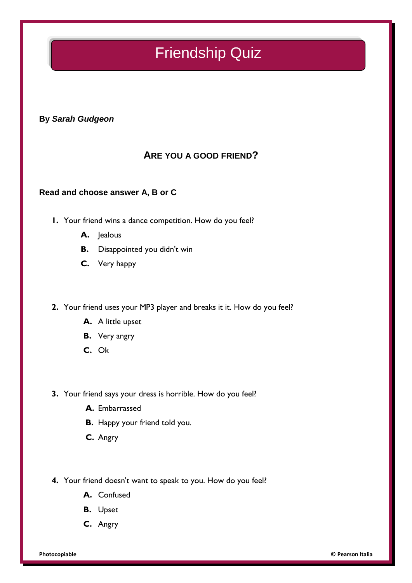## Friendship Quiz

**By** *Sarah Gudgeon*

## **ARE YOU A GOOD FRIEND?**

#### **Read and choose answer A, B or C**

- **1.** Your friend wins a dance competition. How do you feel?
	- **A.** Jealous
	- **B.** Disappointed you didn't win
	- **C.** Very happy
- **2.** Your friend uses your MP3 player and breaks it it. How do you feel?
	- **A.** A little upset
	- **B.** Very angry
	- **C.** Ok
- **3.** Your friend says your dress is horrible. How do you feel?
	- **A.** Embarrassed
	- **B.** Happy your friend told you.
	- **C.** Angry
- **4.** Your friend doesn't want to speak to you. How do you feel?
	- **A.** Confused
	- **B.** Upset
	- **C.** Angry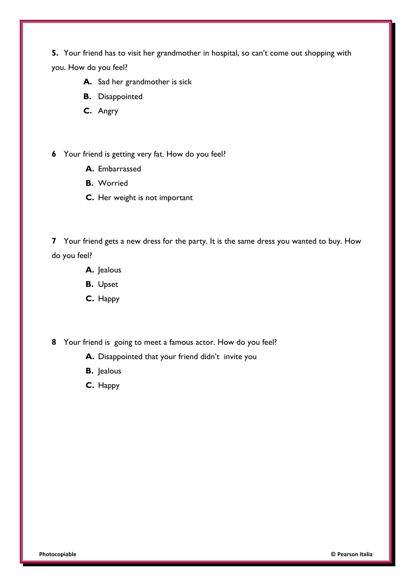**5.** Your friend has to visit her grandmother in hospital, so can't come out shopping with you. How do you feel?

- **A.** Sad her grandmother is sick
- **B.** Disappointed
- **C.** Angry
- **6** Your friend is getting very fat. How do you feel?
	- **A.** Embarrassed
	- **B.** Worried
	- **C.** Her weight is not important

**7** Your friend gets a new dress for the party. It is the same dress you wanted to buy. How do you feel?

- **A.** Jealous
- **B.** Upset
- **C.** Happy
- **8** Your friend is going to meet a famous actor. How do you feel?
	- **A.** Disappointed that your friend didn't invite you
	- **B.** Jealous
	- **C.** Happy